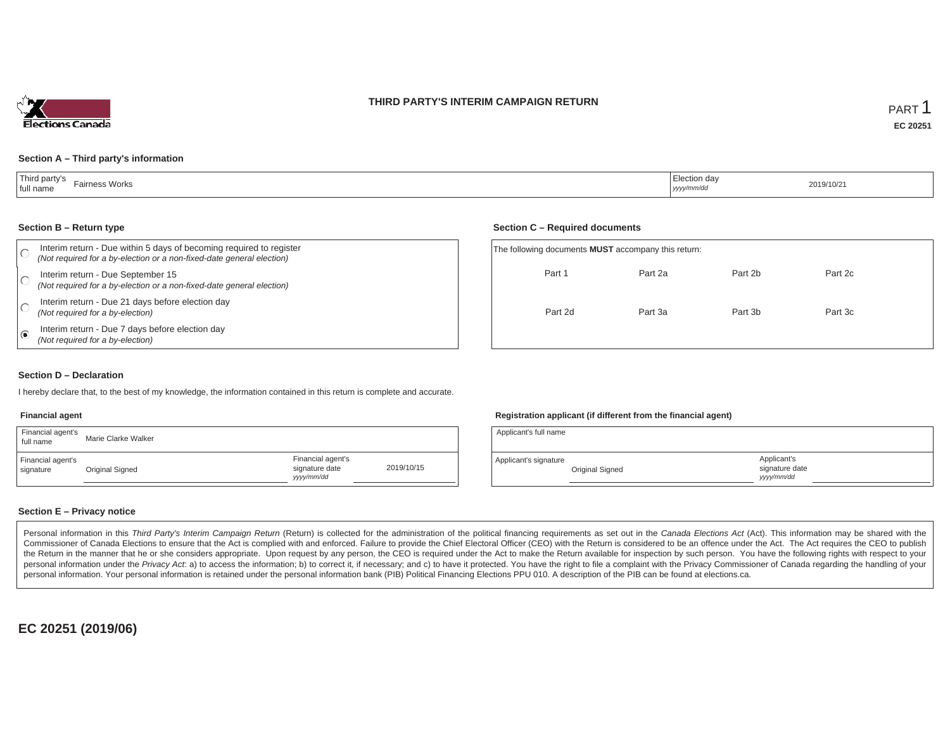## **THIRD PARTY'S INTERIM CAMPAIGN RETURN**



#### **Section A – Third party's information**

| Third party's<br>Fairness Works<br>  full name | $\overline{\phantom{0}}$<br>, Election day<br>أملطا ووود<br>yyyy/mm/dd | 2019/10/21 |
|------------------------------------------------|------------------------------------------------------------------------|------------|
|------------------------------------------------|------------------------------------------------------------------------|------------|

#### **Section B – Return type**

| Interim return - Due within 5 days of becoming required to register                                        |                                                          |         |
|------------------------------------------------------------------------------------------------------------|----------------------------------------------------------|---------|
| (Not required for a by-election or a non-fixed-date general election)                                      | The following documents <b>MUST</b> accompany this retur |         |
| Interim return - Due September 15<br>(Not required for a by-election or a non-fixed-date general election) | Part 1                                                   | Part 2a |
| Interim return - Due 21 days before election day<br>(Not required for a by-election)                       | Part 2d                                                  | Part 3a |
| Interim return - Due 7 days before election day<br>(Not required for a by-election)                        |                                                          |         |
|                                                                                                            |                                                          |         |

#### **Section C – Required documents**

| The following documents <b>MUST</b> accompany this return: |         |         |         |  |
|------------------------------------------------------------|---------|---------|---------|--|
| Part 1                                                     | Part 2a | Part 2b | Part 2c |  |
| Part 2d                                                    | Part 3a | Part 3b | Part 3c |  |

### **Section D – Declaration**

I hereby declare that, to the best of my knowledge, the information contained in this return is complete and accurate.

#### **Financial agent**

| Financial agent's<br>full name | Marie Clarke Walker |                                                  |            |
|--------------------------------|---------------------|--------------------------------------------------|------------|
| Financial agent's<br>signature | Original Signed     | Financial agent's<br>signature date<br>yyy/mm/dd | 2019/10/15 |

### **Registration applicant (if different from the financial agent)**

| Applicant's full name |                 |                                            |  |
|-----------------------|-----------------|--------------------------------------------|--|
| Applicant's signature | Original Signed | Applicant's<br>signature date<br>vyy/mm/dd |  |

## **Section E – Privacy notice**

Personal information in this Third Party's Interim Campaign Return (Return) is collected for the administration of the political financing requirements as set out in the Canada Elections Act (Act). This information may be Commissioner of Canada Elections to ensure that the Act is complied with and enforced. Failure to provide the Chief Electoral Officer (CEO) with the Return is considered to be an offence under the Act. The Act requires the the Return in the manner that he or she considers appropriate. Upon request by any person, the CEO is required under the Act to make the Return available for inspection by such person. You have the following rights with re personal information under the Privacy Act. a) to access the information; b) to correct it, if necessary; and c) to have it protected. You have the right to file a complaint with the Privacy Commissioner of Canada regardin personal information. Your personal information is retained under the personal information bank (PIB) Political Financing Elections PPU 010. A description of the PIB can be found at elections.ca.

**EC 20251 (2019/06)**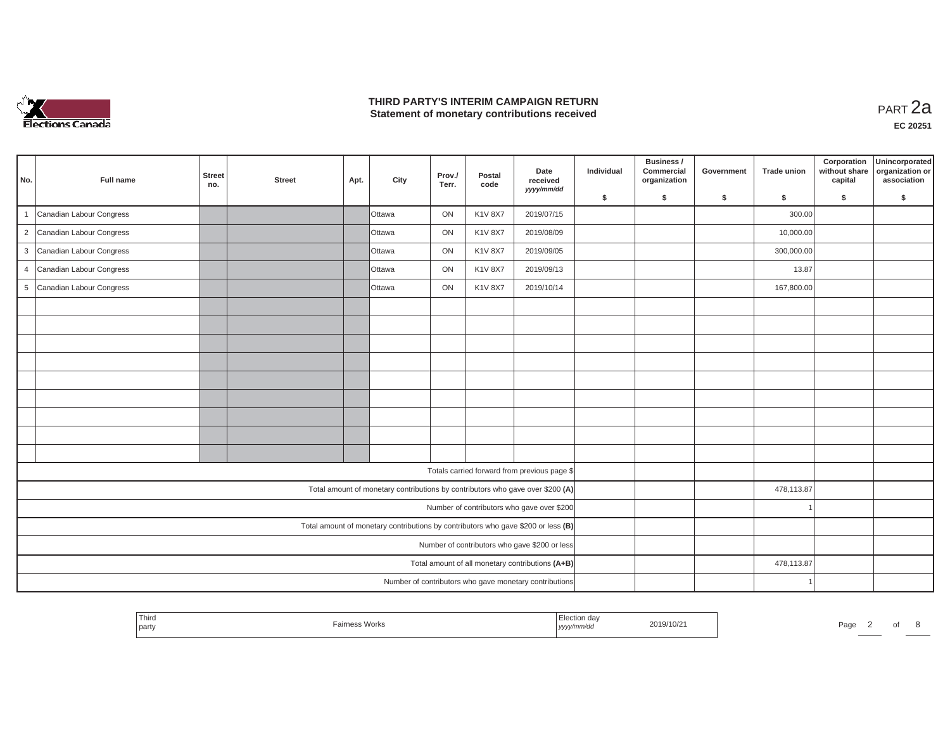

## **THIRD PARTY'S INTERIM CAMPAIGN RETURN THIRD PARTY'S INTERIM CAMPAIGN RETURN<br>Statement of monetary contributions received PART 2a**

| No.            | Full name                  | <b>Street</b><br>no. | <b>Street</b> | Apt. | City                                                                              | Prov./<br>Terr. | Postal<br>code | Date<br>received<br>yyyy/mm/dd                         | Individual | Business /<br>Commercial<br>organization | Government | <b>Trade union</b> | Corporation<br>without share<br>capital | Unincorporated<br>organization or<br>association |
|----------------|----------------------------|----------------------|---------------|------|-----------------------------------------------------------------------------------|-----------------|----------------|--------------------------------------------------------|------------|------------------------------------------|------------|--------------------|-----------------------------------------|--------------------------------------------------|
|                |                            |                      |               |      |                                                                                   |                 |                |                                                        | \$         | s.                                       | \$         | S.                 | \$                                      | S.                                               |
|                | Canadian Labour Congress   |                      |               |      | lOttawa                                                                           | ON              | <b>K1V 8X7</b> | 2019/07/15                                             |            |                                          |            | 300.00             |                                         |                                                  |
|                | 2 Canadian Labour Congress |                      |               |      | <b>Ottawa</b>                                                                     | ON              | <b>K1V 8X7</b> | 2019/08/09                                             |            |                                          |            | 10,000.00          |                                         |                                                  |
|                | 3 Canadian Labour Congress |                      |               |      | Ottawa                                                                            | ON              | K1V 8X7        | 2019/09/05                                             |            |                                          |            | 300,000.00         |                                         |                                                  |
| $\overline{4}$ | Canadian Labour Congress   |                      |               |      | Ottawa                                                                            | ON              | K1V 8X7        | 2019/09/13                                             |            |                                          |            | 13.87              |                                         |                                                  |
|                | 5 Canadian Labour Congress |                      |               |      | <b>Ottawa</b>                                                                     | ON              | <b>K1V 8X7</b> | 2019/10/14                                             |            |                                          |            | 167,800.00         |                                         |                                                  |
|                |                            |                      |               |      |                                                                                   |                 |                |                                                        |            |                                          |            |                    |                                         |                                                  |
|                |                            |                      |               |      |                                                                                   |                 |                |                                                        |            |                                          |            |                    |                                         |                                                  |
|                |                            |                      |               |      |                                                                                   |                 |                |                                                        |            |                                          |            |                    |                                         |                                                  |
|                |                            |                      |               |      |                                                                                   |                 |                |                                                        |            |                                          |            |                    |                                         |                                                  |
|                |                            |                      |               |      |                                                                                   |                 |                |                                                        |            |                                          |            |                    |                                         |                                                  |
|                |                            |                      |               |      |                                                                                   |                 |                |                                                        |            |                                          |            |                    |                                         |                                                  |
|                |                            |                      |               |      |                                                                                   |                 |                |                                                        |            |                                          |            |                    |                                         |                                                  |
|                |                            |                      |               |      |                                                                                   |                 |                |                                                        |            |                                          |            |                    |                                         |                                                  |
|                |                            |                      |               |      |                                                                                   |                 |                |                                                        |            |                                          |            |                    |                                         |                                                  |
|                |                            |                      |               |      |                                                                                   |                 |                | Totals carried forward from previous page \$           |            |                                          |            |                    |                                         |                                                  |
|                |                            |                      |               |      | Total amount of monetary contributions by contributors who gave over \$200 (A)    |                 |                |                                                        |            |                                          |            | 478,113.87         |                                         |                                                  |
|                |                            |                      |               |      |                                                                                   |                 |                | Number of contributors who gave over \$200             |            |                                          |            |                    |                                         |                                                  |
|                |                            |                      |               |      | Total amount of monetary contributions by contributors who gave \$200 or less (B) |                 |                |                                                        |            |                                          |            |                    |                                         |                                                  |
|                |                            |                      |               |      |                                                                                   |                 |                | Number of contributors who gave \$200 or less          |            |                                          |            |                    |                                         |                                                  |
|                |                            |                      |               |      |                                                                                   |                 |                | Total amount of all monetary contributions (A+B)       |            |                                          |            | 478,113.87         |                                         |                                                  |
|                |                            |                      |               |      |                                                                                   |                 |                | Number of contributors who gave monetary contributions |            |                                          |            |                    |                                         |                                                  |

| <sup>1</sup> Third<br>party | <sup>-</sup> airness Works | ection day<br>,,,,, | 2019/10/2<br>$\sim$ $\sim$ | Page |  |  |
|-----------------------------|----------------------------|---------------------|----------------------------|------|--|--|
|                             |                            |                     |                            |      |  |  |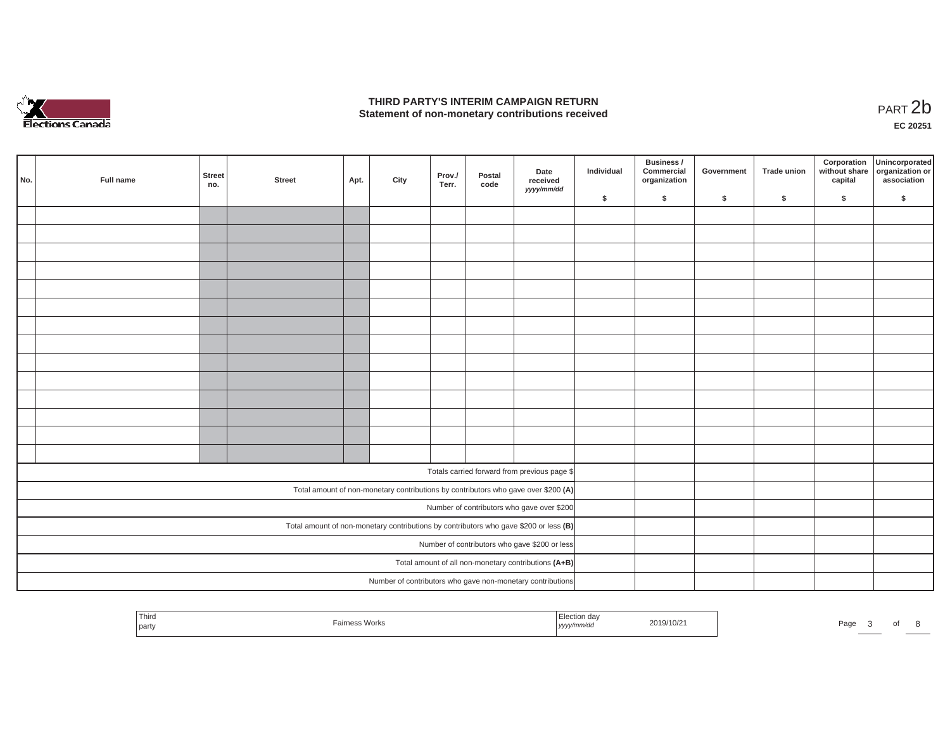

## **THIRD PARTY'S INTERIM CAMPAIGN RETURN**  THIRD PARTY'S INTERIM CAMPAIGN RETURN<br>Statement of non-monetary contributions received<br>**PART 2**b

**EC 20251**

| No. | Full name | Street<br>no. | <b>Street</b> | Apt. | City | Prov./<br>Terr. | Postal<br>code | Date<br>received<br>yyyy/mm/dd                                                        | Individual | Business /<br>Commercial<br>organization | Government | Trade union | Corporation<br>capital | Unincorporated<br>without share organization or<br>association |
|-----|-----------|---------------|---------------|------|------|-----------------|----------------|---------------------------------------------------------------------------------------|------------|------------------------------------------|------------|-------------|------------------------|----------------------------------------------------------------|
|     |           |               |               |      |      |                 |                |                                                                                       | \$         | $\mathsf{s}$                             | \$         | $\sqrt{2}$  | \$                     | \$                                                             |
|     |           |               |               |      |      |                 |                |                                                                                       |            |                                          |            |             |                        |                                                                |
|     |           |               |               |      |      |                 |                |                                                                                       |            |                                          |            |             |                        |                                                                |
|     |           |               |               |      |      |                 |                |                                                                                       |            |                                          |            |             |                        |                                                                |
|     |           |               |               |      |      |                 |                |                                                                                       |            |                                          |            |             |                        |                                                                |
|     |           |               |               |      |      |                 |                |                                                                                       |            |                                          |            |             |                        |                                                                |
|     |           |               |               |      |      |                 |                |                                                                                       |            |                                          |            |             |                        |                                                                |
|     |           |               |               |      |      |                 |                |                                                                                       |            |                                          |            |             |                        |                                                                |
|     |           |               |               |      |      |                 |                |                                                                                       |            |                                          |            |             |                        |                                                                |
|     |           |               |               |      |      |                 |                |                                                                                       |            |                                          |            |             |                        |                                                                |
|     |           |               |               |      |      |                 |                |                                                                                       |            |                                          |            |             |                        |                                                                |
|     |           |               |               |      |      |                 |                |                                                                                       |            |                                          |            |             |                        |                                                                |
|     |           |               |               |      |      |                 |                |                                                                                       |            |                                          |            |             |                        |                                                                |
|     |           |               |               |      |      |                 |                |                                                                                       |            |                                          |            |             |                        |                                                                |
|     |           |               |               |      |      |                 |                |                                                                                       |            |                                          |            |             |                        |                                                                |
|     |           |               |               |      |      |                 |                |                                                                                       |            |                                          |            |             |                        |                                                                |
|     |           |               |               |      |      |                 |                | Totals carried forward from previous page \$                                          |            |                                          |            |             |                        |                                                                |
|     |           |               |               |      |      |                 |                | Total amount of non-monetary contributions by contributors who gave over \$200 (A)    |            |                                          |            |             |                        |                                                                |
|     |           |               |               |      |      |                 |                | Number of contributors who gave over \$200                                            |            |                                          |            |             |                        |                                                                |
|     |           |               |               |      |      |                 |                | Total amount of non-monetary contributions by contributors who gave \$200 or less (B) |            |                                          |            |             |                        |                                                                |
|     |           |               |               |      |      |                 |                | Number of contributors who gave \$200 or less                                         |            |                                          |            |             |                        |                                                                |
|     |           |               |               |      |      |                 |                | Total amount of all non-monetary contributions (A+B)                                  |            |                                          |            |             |                        |                                                                |
|     |           |               |               |      |      |                 |                | Number of contributors who gave non-monetary contributions                            |            |                                          |            |             |                        |                                                                |
|     |           |               |               |      |      |                 |                |                                                                                       |            |                                          |            |             |                        |                                                                |

| Third<br>the contract of the contract of<br>party | -<br><b>Works</b> | נעצען | 2019/10/2 | Page |  |  |  |  |
|---------------------------------------------------|-------------------|-------|-----------|------|--|--|--|--|
|---------------------------------------------------|-------------------|-------|-----------|------|--|--|--|--|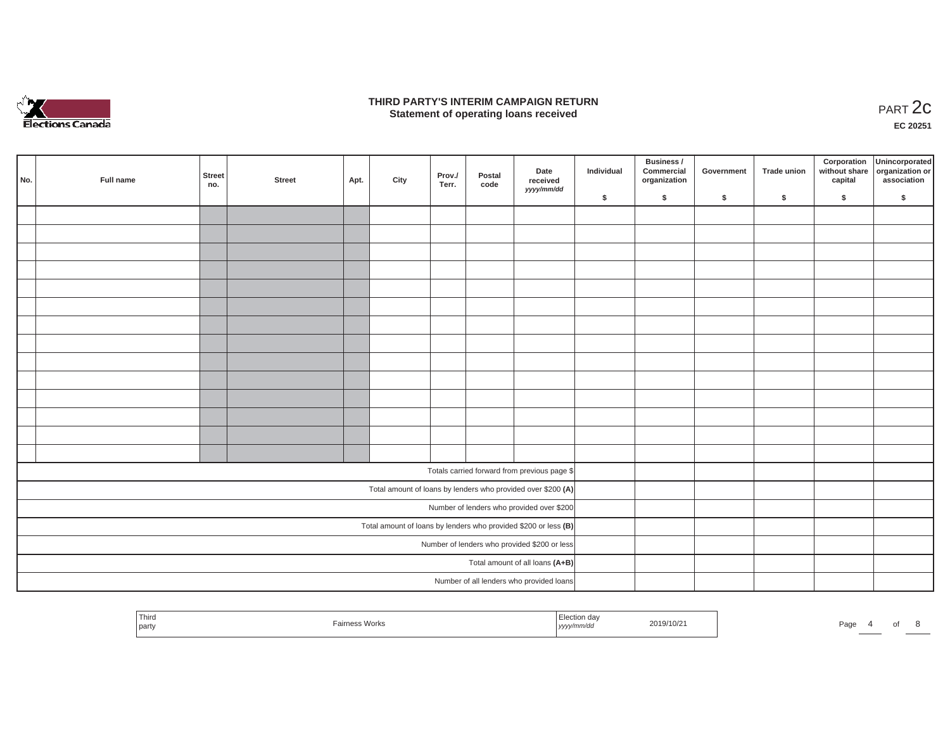

## **THIRD PARTY'S INTERIM CAMPAIGN RETURN**  RD PARTY'S INTERIM CAMPAIGN RETURN<br>Statement of operating loans received **PART 2c**

**EC 20251**

| No. | Full name | <b>Street</b><br>no. | <b>Street</b> | Apt. | City | Prov./<br>Terr. | Postal<br>code | Date<br>received<br>yyyy/mm/dd                                    | Individual | Business /<br>Commercial<br>organization | Government | Trade union | Corporation<br>capital | Unincorporated<br>without share organization or<br>association |
|-----|-----------|----------------------|---------------|------|------|-----------------|----------------|-------------------------------------------------------------------|------------|------------------------------------------|------------|-------------|------------------------|----------------------------------------------------------------|
|     |           |                      |               |      |      |                 |                |                                                                   | \$         | $\sqrt{2}$                               | \$         | $\sqrt{2}$  | \$                     | \$                                                             |
|     |           |                      |               |      |      |                 |                |                                                                   |            |                                          |            |             |                        |                                                                |
|     |           |                      |               |      |      |                 |                |                                                                   |            |                                          |            |             |                        |                                                                |
|     |           |                      |               |      |      |                 |                |                                                                   |            |                                          |            |             |                        |                                                                |
|     |           |                      |               |      |      |                 |                |                                                                   |            |                                          |            |             |                        |                                                                |
|     |           |                      |               |      |      |                 |                |                                                                   |            |                                          |            |             |                        |                                                                |
|     |           |                      |               |      |      |                 |                |                                                                   |            |                                          |            |             |                        |                                                                |
|     |           |                      |               |      |      |                 |                |                                                                   |            |                                          |            |             |                        |                                                                |
|     |           |                      |               |      |      |                 |                |                                                                   |            |                                          |            |             |                        |                                                                |
|     |           |                      |               |      |      |                 |                |                                                                   |            |                                          |            |             |                        |                                                                |
|     |           |                      |               |      |      |                 |                |                                                                   |            |                                          |            |             |                        |                                                                |
|     |           |                      |               |      |      |                 |                |                                                                   |            |                                          |            |             |                        |                                                                |
|     |           |                      |               |      |      |                 |                |                                                                   |            |                                          |            |             |                        |                                                                |
|     |           |                      |               |      |      |                 |                |                                                                   |            |                                          |            |             |                        |                                                                |
|     |           |                      |               |      |      |                 |                |                                                                   |            |                                          |            |             |                        |                                                                |
|     |           |                      |               |      |      |                 |                | Totals carried forward from previous page \$                      |            |                                          |            |             |                        |                                                                |
|     |           |                      |               |      |      |                 |                | Total amount of loans by lenders who provided over \$200 (A)      |            |                                          |            |             |                        |                                                                |
|     |           |                      |               |      |      |                 |                | Number of lenders who provided over \$200                         |            |                                          |            |             |                        |                                                                |
|     |           |                      |               |      |      |                 |                | Total amount of loans by lenders who provided \$200 or less $(B)$ |            |                                          |            |             |                        |                                                                |
|     |           |                      |               |      |      |                 |                | Number of lenders who provided \$200 or less                      |            |                                          |            |             |                        |                                                                |
|     |           |                      |               |      |      |                 |                | Total amount of all loans (A+B)                                   |            |                                          |            |             |                        |                                                                |
|     |           |                      |               |      |      |                 |                | Number of all lenders who provided loans                          |            |                                          |            |             |                        |                                                                |

| Third<br>party | airness Works | --<br>Election day<br>yyyy/mm/dd | 2019/10/21 | Pag |  |  |
|----------------|---------------|----------------------------------|------------|-----|--|--|
|                |               |                                  |            |     |  |  |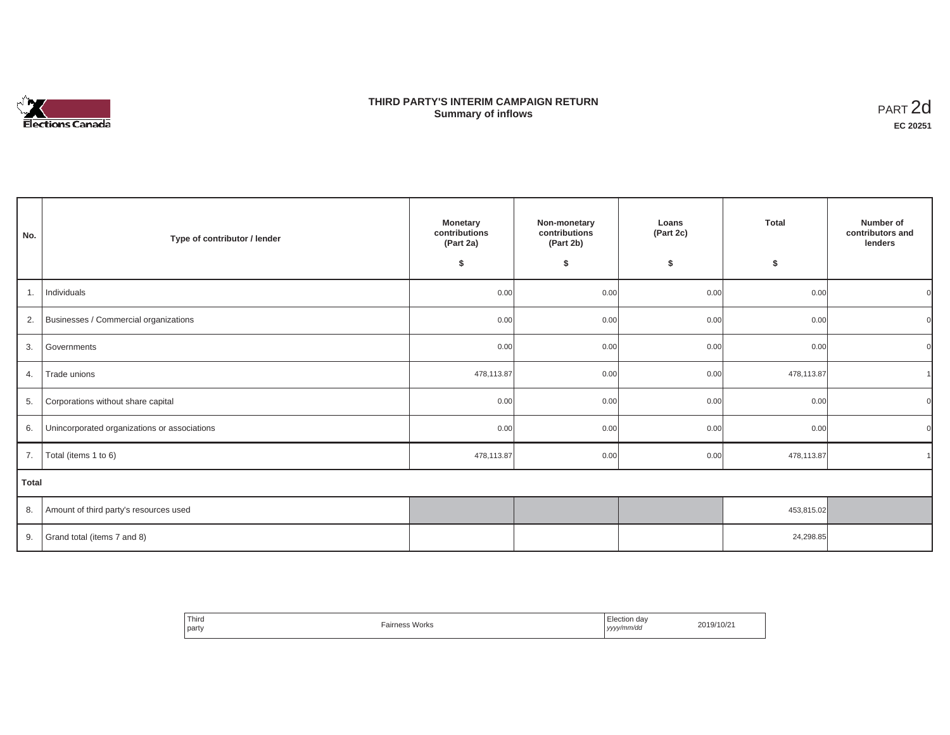# Elections Canada

## **THIRD PARTY'S INTERIM CAMPAIGN RETURN Summary of inflows**

| PART <sub>2d</sub> |
|--------------------|
| EC 20251           |

| No.   | Type of contributor / lender                 | <b>Monetary</b><br>contributions<br>(Part 2a)<br>\$ | Non-monetary<br>contributions<br>(Part 2b)<br>\$ | Loans<br>(Part 2c)<br>\$ | <b>Total</b><br>\$ | Number of<br>contributors and<br>lenders |
|-------|----------------------------------------------|-----------------------------------------------------|--------------------------------------------------|--------------------------|--------------------|------------------------------------------|
| 1.    | Individuals                                  | 0.00                                                | 0.00                                             | 0.00                     | 0.00               | $\Omega$                                 |
| 2.    | Businesses / Commercial organizations        | 0.00                                                | 0.00                                             | 0.00                     | 0.00               | $\Omega$                                 |
| 3.    | Governments                                  | 0.00                                                | 0.00                                             | 0.00                     | 0.00               | $\Omega$                                 |
| 4.    | Trade unions                                 | 478,113.87                                          | 0.00                                             | 0.00                     | 478,113.87         |                                          |
| 5.    | Corporations without share capital           | 0.00                                                | 0.00                                             | 0.00                     | 0.00               | $\Omega$                                 |
| 6.    | Unincorporated organizations or associations | 0.00                                                | 0.00                                             | 0.00                     | 0.00               | $\overline{0}$                           |
| 7.    | Total (items 1 to 6)                         | 478,113.87                                          | 0.00                                             | 0.00                     | 478,113.87         |                                          |
| Total |                                              |                                                     |                                                  |                          |                    |                                          |
| 8.    | Amount of third party's resources used       |                                                     |                                                  |                          | 453,815.02         |                                          |
| 9.    | Grand total (items 7 and 8)                  |                                                     |                                                  |                          | 24,298.85          |                                          |

| Third<br>party | Fairness Works | ı dav<br><b>Hection</b><br>yyyy/mm/dd<br>,,,,<br>. | 2019/10/21 |
|----------------|----------------|----------------------------------------------------|------------|
|----------------|----------------|----------------------------------------------------|------------|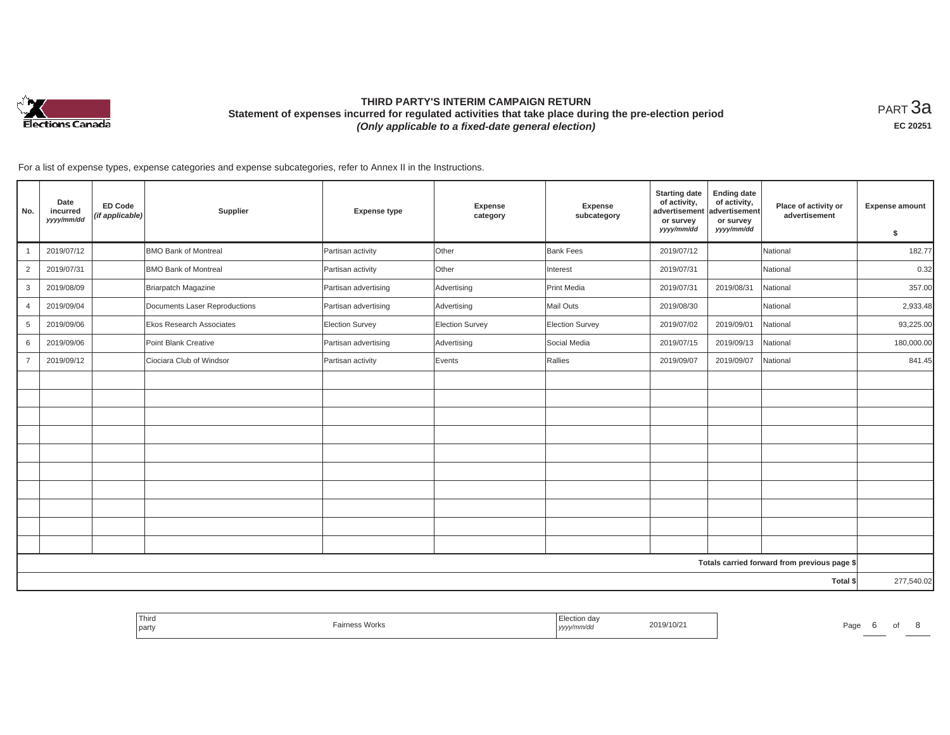

# **THIRD PARTY'S INTERIM CAMPAIGN RETURN Statement of expenses incurred for regulated activities that take place during the pre-election period**  *(Only applicable to a fixed-date general election)*

<code>PART $3$ a</code> **EC 20251**

For a list of expense types, expense categories and expense subcategories, refer to Annex II in the Instructions.

| No.            | Date<br>incurred<br>yyyy/mm/dd | <b>ED Code</b><br>(if applicable) | Supplier                      | <b>Expense type</b>  | Expense<br>category | Expense<br>subcategory | <b>Starting date</b><br>of activity,<br>advertisement<br>or survey<br>yyyy/mm/dd | <b>Ending date</b><br>of activity,<br>advertisement<br>or survey<br>yyyy/mm/dd | Place of activity or<br>advertisement        | <b>Expense amount</b><br>\$ |
|----------------|--------------------------------|-----------------------------------|-------------------------------|----------------------|---------------------|------------------------|----------------------------------------------------------------------------------|--------------------------------------------------------------------------------|----------------------------------------------|-----------------------------|
|                | 2019/07/12                     |                                   | <b>BMO Bank of Montreal</b>   | Partisan activity    | Other               | Bank Fees              | 2019/07/12                                                                       |                                                                                | National                                     | 182.77                      |
| $\overline{2}$ | 2019/07/31                     |                                   | <b>BMO Bank of Montreal</b>   | Partisan activity    | Other               | Interest               | 2019/07/31                                                                       |                                                                                | National                                     | 0.32                        |
| 3              | 2019/08/09                     |                                   | Briarpatch Magazine           | Partisan advertising | Advertising         | Print Media            | 2019/07/31                                                                       | 2019/08/31                                                                     | National                                     | 357.00                      |
| $\overline{4}$ | 2019/09/04                     |                                   | Documents Laser Reproductions | Partisan advertising | Advertising         | Mail Outs              | 2019/08/30                                                                       |                                                                                | National                                     | 2,933.48                    |
| 5              | 2019/09/06                     |                                   | Ekos Research Associates      | Election Survey      | Election Survey     | <b>Election Survey</b> | 2019/07/02                                                                       | 2019/09/01                                                                     | National                                     | 93,225.00                   |
| 6              | 2019/09/06                     |                                   | Point Blank Creative          | Partisan advertising | Advertising         | Social Media           | 2019/07/15                                                                       | 2019/09/13                                                                     | National                                     | 180,000.00                  |
|                | 2019/09/12                     |                                   | Ciociara Club of Windsor      | Partisan activity    | Events              | Rallies                | 2019/09/07                                                                       | 2019/09/07                                                                     | National                                     | 841.45                      |
|                |                                |                                   |                               |                      |                     |                        |                                                                                  |                                                                                |                                              |                             |
|                |                                |                                   |                               |                      |                     |                        |                                                                                  |                                                                                |                                              |                             |
|                |                                |                                   |                               |                      |                     |                        |                                                                                  |                                                                                |                                              |                             |
|                |                                |                                   |                               |                      |                     |                        |                                                                                  |                                                                                |                                              |                             |
|                |                                |                                   |                               |                      |                     |                        |                                                                                  |                                                                                |                                              |                             |
|                |                                |                                   |                               |                      |                     |                        |                                                                                  |                                                                                |                                              |                             |
|                |                                |                                   |                               |                      |                     |                        |                                                                                  |                                                                                |                                              |                             |
|                |                                |                                   |                               |                      |                     |                        |                                                                                  |                                                                                |                                              |                             |
|                |                                |                                   |                               |                      |                     |                        |                                                                                  |                                                                                |                                              |                             |
|                |                                |                                   |                               |                      |                     |                        |                                                                                  |                                                                                |                                              |                             |
|                |                                |                                   |                               |                      |                     |                        |                                                                                  |                                                                                | Totals carried forward from previous page \$ |                             |
|                |                                |                                   |                               |                      |                     |                        |                                                                                  |                                                                                | Total \$                                     | 277,540.02                  |

| l Third<br>the control of the control of<br>party | <b>Works</b> | Election day<br>2019/10/21<br>, уууулт | Page<br>$\cdots$ |
|---------------------------------------------------|--------------|----------------------------------------|------------------|
|                                                   |              |                                        |                  |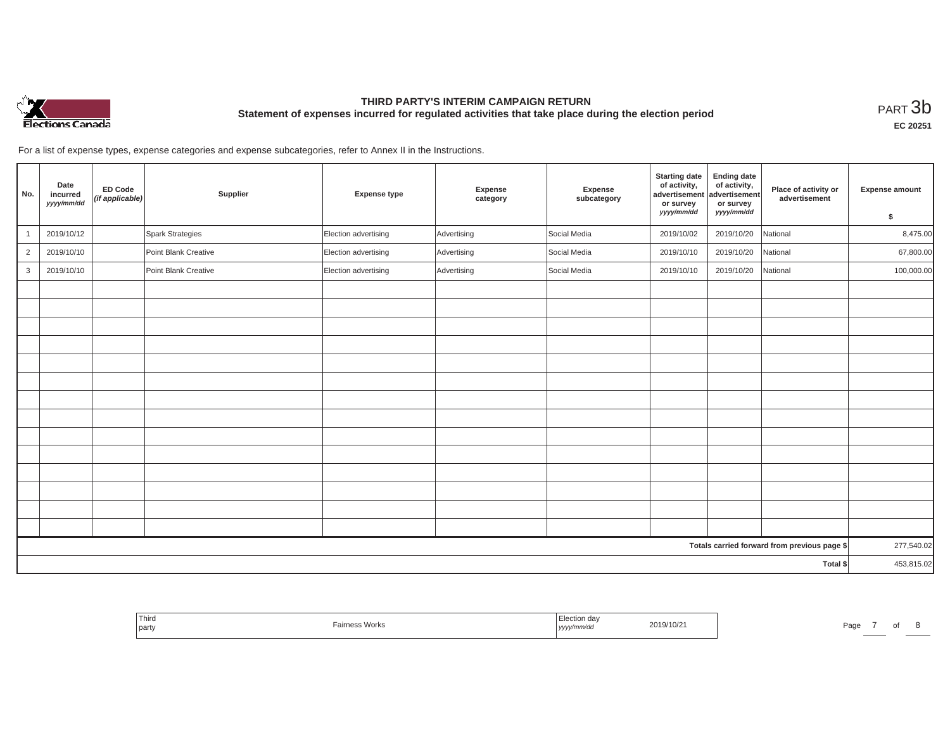

# **THIRD PARTY'S INTERIM CAMPAIGN RETURN Statement of expenses incurred for regulated activities that take place during the election period**<br>РАRТ  $3\mathrm{b}$

**EC 20251**

For a list of expense types, expense categories and expense subcategories, refer to Annex II in the Instructions.

| No.            | Date<br>incurred<br>yyyy/mm/dd | <b>ED Code</b><br>(if applicable) | Supplier             | <b>Expense type</b>  | Expense<br>category | Expense<br>subcategory | <b>Starting date</b><br>of activity,<br>advertisement<br>or survey<br>yyyy/mm/dd | <b>Ending date</b><br>of activity,<br>advertisement<br>or survey<br>yyyy/mm/dd | Place of activity or<br>advertisement        | Expense amount |
|----------------|--------------------------------|-----------------------------------|----------------------|----------------------|---------------------|------------------------|----------------------------------------------------------------------------------|--------------------------------------------------------------------------------|----------------------------------------------|----------------|
|                |                                |                                   |                      |                      |                     |                        |                                                                                  |                                                                                |                                              | \$             |
|                | 2019/10/12                     |                                   | Spark Strategies     | Election advertising | Advertising         | Social Media           | 2019/10/02                                                                       | 2019/10/20                                                                     | National                                     | 8,475.00       |
| $\overline{2}$ | 2019/10/10                     |                                   | Point Blank Creative | Election advertising | Advertising         | Social Media           | 2019/10/10                                                                       | 2019/10/20                                                                     | National                                     | 67,800.00      |
| $\mathbf{3}$   | 2019/10/10                     |                                   | Point Blank Creative | Election advertising | Advertising         | Social Media           | 2019/10/10                                                                       | 2019/10/20                                                                     | National                                     | 100,000.00     |
|                |                                |                                   |                      |                      |                     |                        |                                                                                  |                                                                                |                                              |                |
|                |                                |                                   |                      |                      |                     |                        |                                                                                  |                                                                                |                                              |                |
|                |                                |                                   |                      |                      |                     |                        |                                                                                  |                                                                                |                                              |                |
|                |                                |                                   |                      |                      |                     |                        |                                                                                  |                                                                                |                                              |                |
|                |                                |                                   |                      |                      |                     |                        |                                                                                  |                                                                                |                                              |                |
|                |                                |                                   |                      |                      |                     |                        |                                                                                  |                                                                                |                                              |                |
|                |                                |                                   |                      |                      |                     |                        |                                                                                  |                                                                                |                                              |                |
|                |                                |                                   |                      |                      |                     |                        |                                                                                  |                                                                                |                                              |                |
|                |                                |                                   |                      |                      |                     |                        |                                                                                  |                                                                                |                                              |                |
|                |                                |                                   |                      |                      |                     |                        |                                                                                  |                                                                                |                                              |                |
|                |                                |                                   |                      |                      |                     |                        |                                                                                  |                                                                                |                                              |                |
|                |                                |                                   |                      |                      |                     |                        |                                                                                  |                                                                                |                                              |                |
|                |                                |                                   |                      |                      |                     |                        |                                                                                  |                                                                                |                                              |                |
|                |                                |                                   |                      |                      |                     |                        |                                                                                  |                                                                                |                                              |                |
|                |                                |                                   |                      |                      |                     |                        |                                                                                  |                                                                                | Totals carried forward from previous page \$ | 277,540.02     |
| Total \$       |                                |                                   |                      |                      |                     |                        | 453,815.02                                                                       |                                                                                |                                              |                |

| Third<br>Fairness Works<br>the control of the control of<br>party | 2019/10/21<br>mmraa<br>$1$ yyyy $\prime$ | Page |
|-------------------------------------------------------------------|------------------------------------------|------|
|-------------------------------------------------------------------|------------------------------------------|------|